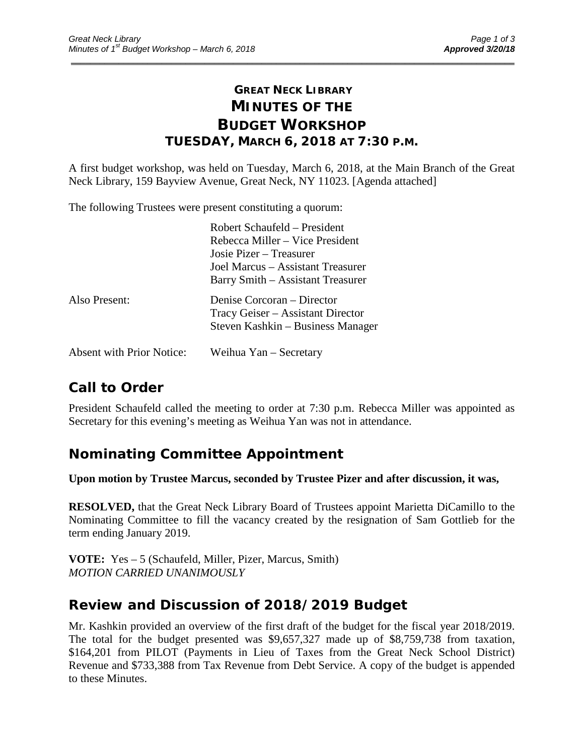# **GREAT NECK LIBRARY MINUTES OF THE BUDGET WORKSHOP TUESDAY, MARCH 6, 2018 AT 7:30 P.M.**

\_\_\_\_\_\_\_\_\_\_\_\_\_\_\_\_\_\_\_\_\_\_\_\_\_\_\_\_\_\_\_\_\_\_\_\_\_\_\_\_\_\_\_\_\_\_\_\_\_\_\_\_\_\_\_\_\_\_\_\_\_\_\_\_\_\_\_\_\_\_\_\_\_\_\_\_\_\_\_\_\_\_\_\_\_\_\_\_\_\_\_\_\_

A first budget workshop, was held on Tuesday, March 6, 2018, at the Main Branch of the Great Neck Library, 159 Bayview Avenue, Great Neck, NY 11023. [Agenda attached]

The following Trustees were present constituting a quorum:

|               | Robert Schaufeld – President      |
|---------------|-----------------------------------|
|               | Rebecca Miller – Vice President   |
|               | Josie Pizer – Treasurer           |
|               | Joel Marcus – Assistant Treasurer |
|               | Barry Smith – Assistant Treasurer |
| Also Present: | Denise Corcoran – Director        |
|               | Tracy Geiser – Assistant Director |
|               | Steven Kashkin – Business Manager |
|               |                                   |

# **Call to Order**

President Schaufeld called the meeting to order at 7:30 p.m. Rebecca Miller was appointed as Secretary for this evening's meeting as Weihua Yan was not in attendance.

# **Nominating Committee Appointment**

Absent with Prior Notice: Weihua Yan – Secretary

**Upon motion by Trustee Marcus, seconded by Trustee Pizer and after discussion, it was,**

**RESOLVED,** that the Great Neck Library Board of Trustees appoint Marietta DiCamillo to the Nominating Committee to fill the vacancy created by the resignation of Sam Gottlieb for the term ending January 2019.

**VOTE:** Yes – 5 (Schaufeld, Miller, Pizer, Marcus, Smith) *MOTION CARRIED UNANIMOUSLY*

## **Review and Discussion of 2018/2019 Budget**

Mr. Kashkin provided an overview of the first draft of the budget for the fiscal year 2018/2019. The total for the budget presented was \$9,657,327 made up of \$8,759,738 from taxation, \$164,201 from PILOT (Payments in Lieu of Taxes from the Great Neck School District) Revenue and \$733,388 from Tax Revenue from Debt Service. A copy of the budget is appended to these Minutes.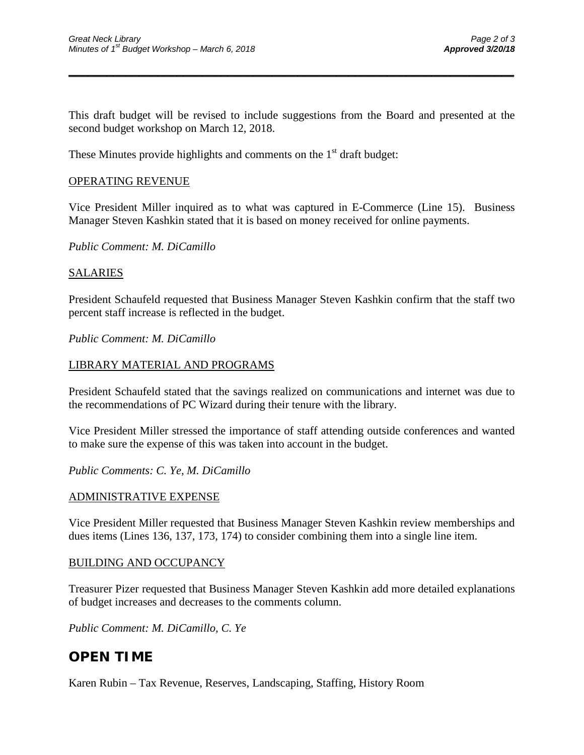This draft budget will be revised to include suggestions from the Board and presented at the second budget workshop on March 12, 2018.

\_\_\_\_\_\_\_\_\_\_\_\_\_\_\_\_\_\_\_\_\_\_\_\_\_\_\_\_\_\_\_\_\_\_\_\_\_\_\_\_\_\_\_\_\_\_\_\_\_\_\_\_\_\_\_\_\_\_\_\_\_\_\_\_\_\_\_\_\_\_

These Minutes provide highlights and comments on the  $1<sup>st</sup>$  draft budget:

### OPERATING REVENUE

Vice President Miller inquired as to what was captured in E-Commerce (Line 15). Business Manager Steven Kashkin stated that it is based on money received for online payments.

*Public Comment: M. DiCamillo*

### SALARIES

President Schaufeld requested that Business Manager Steven Kashkin confirm that the staff two percent staff increase is reflected in the budget.

#### *Public Comment: M. DiCamillo*

### LIBRARY MATERIAL AND PROGRAMS

President Schaufeld stated that the savings realized on communications and internet was due to the recommendations of PC Wizard during their tenure with the library.

Vice President Miller stressed the importance of staff attending outside conferences and wanted to make sure the expense of this was taken into account in the budget.

*Public Comments: C. Ye, M. DiCamillo*

### ADMINISTRATIVE EXPENSE

Vice President Miller requested that Business Manager Steven Kashkin review memberships and dues items (Lines 136, 137, 173, 174) to consider combining them into a single line item.

### BUILDING AND OCCUPANCY

Treasurer Pizer requested that Business Manager Steven Kashkin add more detailed explanations of budget increases and decreases to the comments column.

*Public Comment: M. DiCamillo, C. Ye*

# **OPEN TIME**

Karen Rubin – Tax Revenue, Reserves, Landscaping, Staffing, History Room